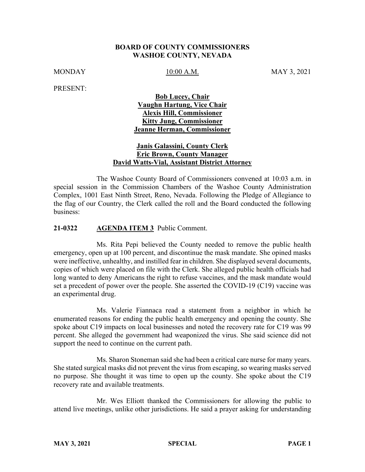### **BOARD OF COUNTY COMMISSIONERS WASHOE COUNTY, NEVADA**

MONDAY 10:00 A.M. MAY 3, 2021

PRESENT:

# **Bob Lucey, Chair Vaughn Hartung, Vice Chair Alexis Hill, Commissioner Kitty Jung, Commissioner Jeanne Herman, Commissioner**

## **Janis Galassini, County Clerk Eric Brown, County Manager David Watts-Vial, Assistant District Attorney**

The Washoe County Board of Commissioners convened at 10:03 a.m. in special session in the Commission Chambers of the Washoe County Administration Complex, 1001 East Ninth Street, Reno, Nevada. Following the Pledge of Allegiance to the flag of our Country, the Clerk called the roll and the Board conducted the following business:

#### **21-0322 AGENDA ITEM 3** Public Comment.

Ms. Rita Pepi believed the County needed to remove the public health emergency, open up at 100 percent, and discontinue the mask mandate. She opined masks were ineffective, unhealthy, and instilled fear in children. She displayed several documents, copies of which were placed on file with the Clerk. She alleged public health officials had long wanted to deny Americans the right to refuse vaccines, and the mask mandate would set a precedent of power over the people. She asserted the COVID-19 (C19) vaccine was an experimental drug.

Ms. Valerie Fiannaca read a statement from a neighbor in which he enumerated reasons for ending the public health emergency and opening the county. She spoke about C19 impacts on local businesses and noted the recovery rate for C19 was 99 percent. She alleged the government had weaponized the virus. She said science did not support the need to continue on the current path.

Ms. Sharon Stoneman said she had been a critical care nurse for many years. She stated surgical masks did not prevent the virus from escaping, so wearing masks served no purpose. She thought it was time to open up the county. She spoke about the C19 recovery rate and available treatments.

Mr. Wes Elliott thanked the Commissioners for allowing the public to attend live meetings, unlike other jurisdictions. He said a prayer asking for understanding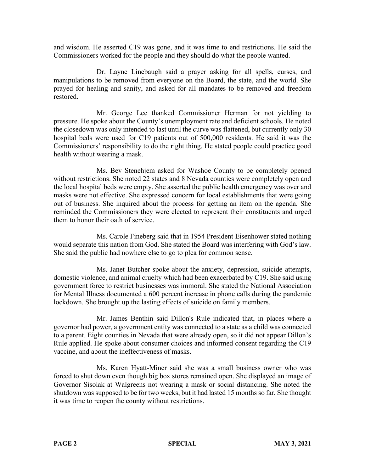and wisdom. He asserted C19 was gone, and it was time to end restrictions. He said the Commissioners worked for the people and they should do what the people wanted.

Dr. Layne Linebaugh said a prayer asking for all spells, curses, and manipulations to be removed from everyone on the Board, the state, and the world. She prayed for healing and sanity, and asked for all mandates to be removed and freedom restored.

Mr. George Lee thanked Commissioner Herman for not yielding to pressure. He spoke about the County's unemployment rate and deficient schools. He noted the closedown was only intended to last until the curve was flattened, but currently only 30 hospital beds were used for C19 patients out of 500,000 residents. He said it was the Commissioners' responsibility to do the right thing. He stated people could practice good health without wearing a mask.

Ms. Bev Stenehjem asked for Washoe County to be completely opened without restrictions. She noted 22 states and 8 Nevada counties were completely open and the local hospital beds were empty. She asserted the public health emergency was over and masks were not effective. She expressed concern for local establishments that were going out of business. She inquired about the process for getting an item on the agenda. She reminded the Commissioners they were elected to represent their constituents and urged them to honor their oath of service.

Ms. Carole Fineberg said that in 1954 President Eisenhower stated nothing would separate this nation from God. She stated the Board was interfering with God's law. She said the public had nowhere else to go to plea for common sense.

Ms. Janet Butcher spoke about the anxiety, depression, suicide attempts, domestic violence, and animal cruelty which had been exacerbated by C19. She said using government force to restrict businesses was immoral. She stated the National Association for Mental Illness documented a 600 percent increase in phone calls during the pandemic lockdown. She brought up the lasting effects of suicide on family members.

Mr. James Benthin said Dillon's Rule indicated that, in places where a governor had power, a government entity was connected to a state as a child was connected to a parent. Eight counties in Nevada that were already open, so it did not appear Dillon's Rule applied. He spoke about consumer choices and informed consent regarding the C19 vaccine, and about the ineffectiveness of masks.

Ms. Karen Hyatt-Miner said she was a small business owner who was forced to shut down even though big box stores remained open. She displayed an image of Governor Sisolak at Walgreens not wearing a mask or social distancing. She noted the shutdown was supposed to be for two weeks, but it had lasted 15 months so far. She thought it was time to reopen the county without restrictions.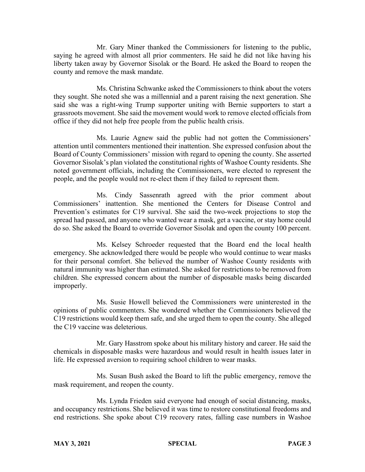Mr. Gary Miner thanked the Commissioners for listening to the public, saying he agreed with almost all prior commenters. He said he did not like having his liberty taken away by Governor Sisolak or the Board. He asked the Board to reopen the county and remove the mask mandate.

Ms. Christina Schwanke asked the Commissioners to think about the voters they sought. She noted she was a millennial and a parent raising the next generation. She said she was a right-wing Trump supporter uniting with Bernie supporters to start a grassroots movement. She said the movement would work to remove elected officials from office if they did not help free people from the public health crisis.

Ms. Laurie Agnew said the public had not gotten the Commissioners' attention until commenters mentioned their inattention. She expressed confusion about the Board of County Commissioners' mission with regard to opening the county. She asserted Governor Sisolak's plan violated the constitutional rights of Washoe County residents. She noted government officials, including the Commissioners, were elected to represent the people, and the people would not re-elect them if they failed to represent them.

Ms. Cindy Sassenrath agreed with the prior comment about Commissioners' inattention. She mentioned the Centers for Disease Control and Prevention's estimates for C19 survival. She said the two-week projections to stop the spread had passed, and anyone who wanted wear a mask, get a vaccine, or stay home could do so. She asked the Board to override Governor Sisolak and open the county 100 percent.

Ms. Kelsey Schroeder requested that the Board end the local health emergency. She acknowledged there would be people who would continue to wear masks for their personal comfort. She believed the number of Washoe County residents with natural immunity was higher than estimated. She asked for restrictions to be removed from children. She expressed concern about the number of disposable masks being discarded improperly.

Ms. Susie Howell believed the Commissioners were uninterested in the opinions of public commenters. She wondered whether the Commissioners believed the C19 restrictions would keep them safe, and she urged them to open the county. She alleged the C19 vaccine was deleterious.

Mr. Gary Hasstrom spoke about his military history and career. He said the chemicals in disposable masks were hazardous and would result in health issues later in life. He expressed aversion to requiring school children to wear masks.

Ms. Susan Bush asked the Board to lift the public emergency, remove the mask requirement, and reopen the county.

Ms. Lynda Frieden said everyone had enough of social distancing, masks, and occupancy restrictions. She believed it was time to restore constitutional freedoms and end restrictions. She spoke about C19 recovery rates, falling case numbers in Washoe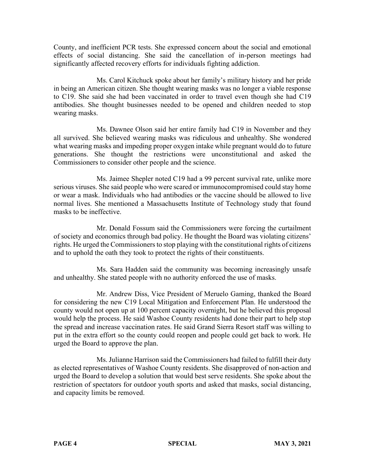County, and inefficient PCR tests. She expressed concern about the social and emotional effects of social distancing. She said the cancellation of in-person meetings had significantly affected recovery efforts for individuals fighting addiction.

Ms. Carol Kitchuck spoke about her family's military history and her pride in being an American citizen. She thought wearing masks was no longer a viable response to C19. She said she had been vaccinated in order to travel even though she had C19 antibodies. She thought businesses needed to be opened and children needed to stop wearing masks.

Ms. Dawnee Olson said her entire family had C19 in November and they all survived. She believed wearing masks was ridiculous and unhealthy. She wondered what wearing masks and impeding proper oxygen intake while pregnant would do to future generations. She thought the restrictions were unconstitutional and asked the Commissioners to consider other people and the science.

Ms. Jaimee Shepler noted C19 had a 99 percent survival rate, unlike more serious viruses. She said people who were scared or immunocompromised could stay home or wear a mask. Individuals who had antibodies or the vaccine should be allowed to live normal lives. She mentioned a Massachusetts Institute of Technology study that found masks to be ineffective.

Mr. Donald Fossum said the Commissioners were forcing the curtailment of society and economics through bad policy. He thought the Board was violating citizens' rights. He urged the Commissioners to stop playing with the constitutional rights of citizens and to uphold the oath they took to protect the rights of their constituents.

Ms. Sara Hadden said the community was becoming increasingly unsafe and unhealthy. She stated people with no authority enforced the use of masks.

Mr. Andrew Diss, Vice President of Meruelo Gaming, thanked the Board for considering the new C19 Local Mitigation and Enforcement Plan. He understood the county would not open up at 100 percent capacity overnight, but he believed this proposal would help the process. He said Washoe County residents had done their part to help stop the spread and increase vaccination rates. He said Grand Sierra Resort staff was willing to put in the extra effort so the county could reopen and people could get back to work. He urged the Board to approve the plan.

Ms. Julianne Harrison said the Commissioners had failed to fulfill their duty as elected representatives of Washoe County residents. She disapproved of non-action and urged the Board to develop a solution that would best serve residents. She spoke about the restriction of spectators for outdoor youth sports and asked that masks, social distancing, and capacity limits be removed.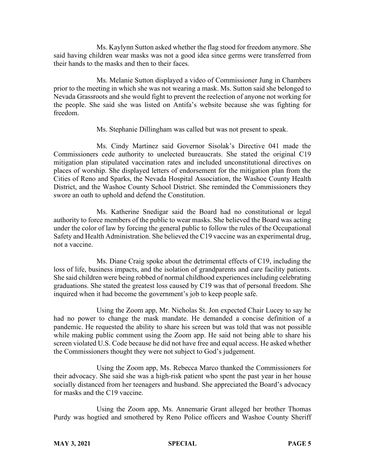Ms. Kaylynn Sutton asked whether the flag stood for freedom anymore. She said having children wear masks was not a good idea since germs were transferred from their hands to the masks and then to their faces.

Ms. Melanie Sutton displayed a video of Commissioner Jung in Chambers prior to the meeting in which she was not wearing a mask. Ms. Sutton said she belonged to Nevada Grassroots and she would fight to prevent the reelection of anyone not working for the people. She said she was listed on Antifa's website because she was fighting for freedom.

Ms. Stephanie Dillingham was called but was not present to speak.

Ms. Cindy Martinez said Governor Sisolak's Directive 041 made the Commissioners cede authority to unelected bureaucrats. She stated the original C19 mitigation plan stipulated vaccination rates and included unconstitutional directives on places of worship. She displayed letters of endorsement for the mitigation plan from the Cities of Reno and Sparks, the Nevada Hospital Association, the Washoe County Health District, and the Washoe County School District. She reminded the Commissioners they swore an oath to uphold and defend the Constitution.

Ms. Katherine Snedigar said the Board had no constitutional or legal authority to force members of the public to wear masks. She believed the Board was acting under the color of law by forcing the general public to follow the rules of the Occupational Safety and Health Administration. She believed the C19 vaccine was an experimental drug, not a vaccine.

Ms. Diane Craig spoke about the detrimental effects of C19, including the loss of life, business impacts, and the isolation of grandparents and care facility patients. She said children were being robbed of normal childhood experiencesincluding celebrating graduations. She stated the greatest loss caused by C19 was that of personal freedom. She inquired when it had become the government's job to keep people safe.

Using the Zoom app, Mr. Nicholas St. Jon expected Chair Lucey to say he had no power to change the mask mandate. He demanded a concise definition of a pandemic. He requested the ability to share his screen but was told that was not possible while making public comment using the Zoom app. He said not being able to share his screen violated U.S. Code because he did not have free and equal access. He asked whether the Commissioners thought they were not subject to God's judgement.

Using the Zoom app, Ms. Rebecca Marco thanked the Commissioners for their advocacy. She said she was a high-risk patient who spent the past year in her house socially distanced from her teenagers and husband. She appreciated the Board's advocacy for masks and the C19 vaccine.

Using the Zoom app, Ms. Annemarie Grant alleged her brother Thomas Purdy was hogtied and smothered by Reno Police officers and Washoe County Sheriff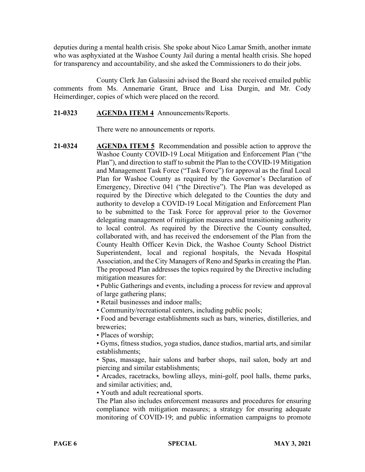deputies during a mental health crisis. She spoke about Nico Lamar Smith, another inmate who was asphyxiated at the Washoe County Jail during a mental health crisis. She hoped for transparency and accountability, and she asked the Commissioners to do their jobs.

County Clerk Jan Galassini advised the Board she received emailed public comments from Ms. Annemarie Grant, Bruce and Lisa Durgin, and Mr. Cody Heimerdinger, copies of which were placed on the record.

### **21-0323 AGENDA ITEM 4** Announcements/Reports.

There were no announcements or reports.

**21-0324 AGENDA ITEM 5** Recommendation and possible action to approve the Washoe County COVID-19 Local Mitigation and Enforcement Plan ("the Plan"), and direction to staff to submit the Plan to the COVID-19 Mitigation and Management Task Force ("Task Force") for approval as the final Local Plan for Washoe County as required by the Governor's Declaration of Emergency, Directive 041 ("the Directive"). The Plan was developed as required by the Directive which delegated to the Counties the duty and authority to develop a COVID-19 Local Mitigation and Enforcement Plan to be submitted to the Task Force for approval prior to the Governor delegating management of mitigation measures and transitioning authority to local control. As required by the Directive the County consulted, collaborated with, and has received the endorsement of the Plan from the County Health Officer Kevin Dick, the Washoe County School District Superintendent, local and regional hospitals, the Nevada Hospital Association, and the City Managers of Reno and Sparks in creating the Plan. The proposed Plan addresses the topics required by the Directive including mitigation measures for:

• Public Gatherings and events, including a process for review and approval of large gathering plans;

• Retail businesses and indoor malls;

• Community/recreational centers, including public pools;

• Food and beverage establishments such as bars, wineries, distilleries, and breweries;

• Places of worship;

• Gyms, fitness studios, yoga studios, dance studios, martial arts, and similar establishments;

• Spas, massage, hair salons and barber shops, nail salon, body art and piercing and similar establishments;

• Arcades, racetracks, bowling alleys, mini-golf, pool halls, theme parks, and similar activities; and,

• Youth and adult recreational sports.

The Plan also includes enforcement measures and procedures for ensuring compliance with mitigation measures; a strategy for ensuring adequate monitoring of COVID-19; and public information campaigns to promote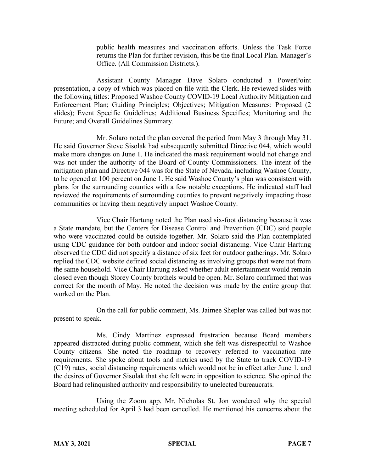public health measures and vaccination efforts. Unless the Task Force returns the Plan for further revision, this be the final Local Plan. Manager's Office. (All Commission Districts.).

Assistant County Manager Dave Solaro conducted a PowerPoint presentation, a copy of which was placed on file with the Clerk. He reviewed slides with the following titles: Proposed Washoe County COVID-19 Local Authority Mitigation and Enforcement Plan; Guiding Principles; Objectives; Mitigation Measures: Proposed (2 slides); Event Specific Guidelines; Additional Business Specifics; Monitoring and the Future; and Overall Guidelines Summary.

Mr. Solaro noted the plan covered the period from May 3 through May 31. He said Governor Steve Sisolak had subsequently submitted Directive 044, which would make more changes on June 1. He indicated the mask requirement would not change and was not under the authority of the Board of County Commissioners. The intent of the mitigation plan and Directive 044 was for the State of Nevada, including Washoe County, to be opened at 100 percent on June 1. He said Washoe County's plan was consistent with plans for the surrounding counties with a few notable exceptions. He indicated staff had reviewed the requirements of surrounding counties to prevent negatively impacting those communities or having them negatively impact Washoe County.

Vice Chair Hartung noted the Plan used six-foot distancing because it was a State mandate, but the Centers for Disease Control and Prevention (CDC) said people who were vaccinated could be outside together. Mr. Solaro said the Plan contemplated using CDC guidance for both outdoor and indoor social distancing. Vice Chair Hartung observed the CDC did not specify a distance of six feet for outdoor gatherings. Mr. Solaro replied the CDC website defined social distancing as involving groups that were not from the same household. Vice Chair Hartung asked whether adult entertainment would remain closed even though Storey County brothels would be open. Mr. Solaro confirmed that was correct for the month of May. He noted the decision was made by the entire group that worked on the Plan.

On the call for public comment, Ms. Jaimee Shepler was called but was not present to speak.

Ms. Cindy Martinez expressed frustration because Board members appeared distracted during public comment, which she felt was disrespectful to Washoe County citizens. She noted the roadmap to recovery referred to vaccination rate requirements. She spoke about tools and metrics used by the State to track COVID-19 (C19) rates, social distancing requirements which would not be in effect after June 1, and the desires of Governor Sisolak that she felt were in opposition to science. She opined the Board had relinquished authority and responsibility to unelected bureaucrats.

Using the Zoom app, Mr. Nicholas St. Jon wondered why the special meeting scheduled for April 3 had been cancelled. He mentioned his concerns about the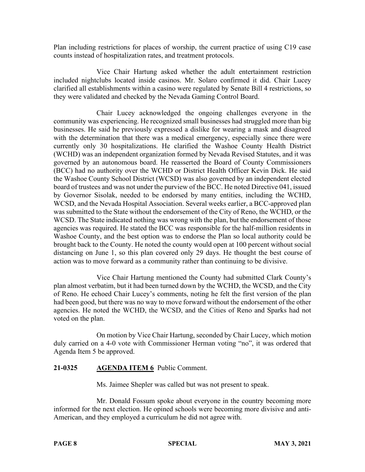Plan including restrictions for places of worship, the current practice of using C19 case counts instead of hospitalization rates, and treatment protocols.

Vice Chair Hartung asked whether the adult entertainment restriction included nightclubs located inside casinos. Mr. Solaro confirmed it did. Chair Lucey clarified all establishments within a casino were regulated by Senate Bill 4 restrictions, so they were validated and checked by the Nevada Gaming Control Board.

Chair Lucey acknowledged the ongoing challenges everyone in the community was experiencing. He recognized small businesses had struggled more than big businesses. He said he previously expressed a dislike for wearing a mask and disagreed with the determination that there was a medical emergency, especially since there were currently only 30 hospitalizations. He clarified the Washoe County Health District (WCHD) was an independent organization formed by Nevada Revised Statutes, and it was governed by an autonomous board. He reasserted the Board of County Commissioners (BCC) had no authority over the WCHD or District Health Officer Kevin Dick. He said the Washoe County School District (WCSD) was also governed by an independent elected board of trustees and was not under the purview of the BCC. He noted Directive 041, issued by Governor Sisolak, needed to be endorsed by many entities, including the WCHD, WCSD, and the Nevada Hospital Association. Several weeks earlier, a BCC-approved plan was submitted to the State without the endorsement of the City of Reno, the WCHD, or the WCSD. The State indicated nothing was wrong with the plan, but the endorsement of those agencies was required. He stated the BCC was responsible for the half-million residents in Washoe County, and the best option was to endorse the Plan so local authority could be brought back to the County. He noted the county would open at 100 percent without social distancing on June 1, so this plan covered only 29 days. He thought the best course of action was to move forward as a community rather than continuing to be divisive.

Vice Chair Hartung mentioned the County had submitted Clark County's plan almost verbatim, but it had been turned down by the WCHD, the WCSD, and the City of Reno. He echoed Chair Lucey's comments, noting he felt the first version of the plan had been good, but there was no way to move forward without the endorsement of the other agencies. He noted the WCHD, the WCSD, and the Cities of Reno and Sparks had not voted on the plan.

On motion by Vice Chair Hartung, seconded by Chair Lucey, which motion duly carried on a 4-0 vote with Commissioner Herman voting "no", it was ordered that Agenda Item 5 be approved.

## **21-0325 AGENDA ITEM 6** Public Comment.

Ms. Jaimee Shepler was called but was not present to speak.

Mr. Donald Fossum spoke about everyone in the country becoming more informed for the next election. He opined schools were becoming more divisive and anti-American, and they employed a curriculum he did not agree with.